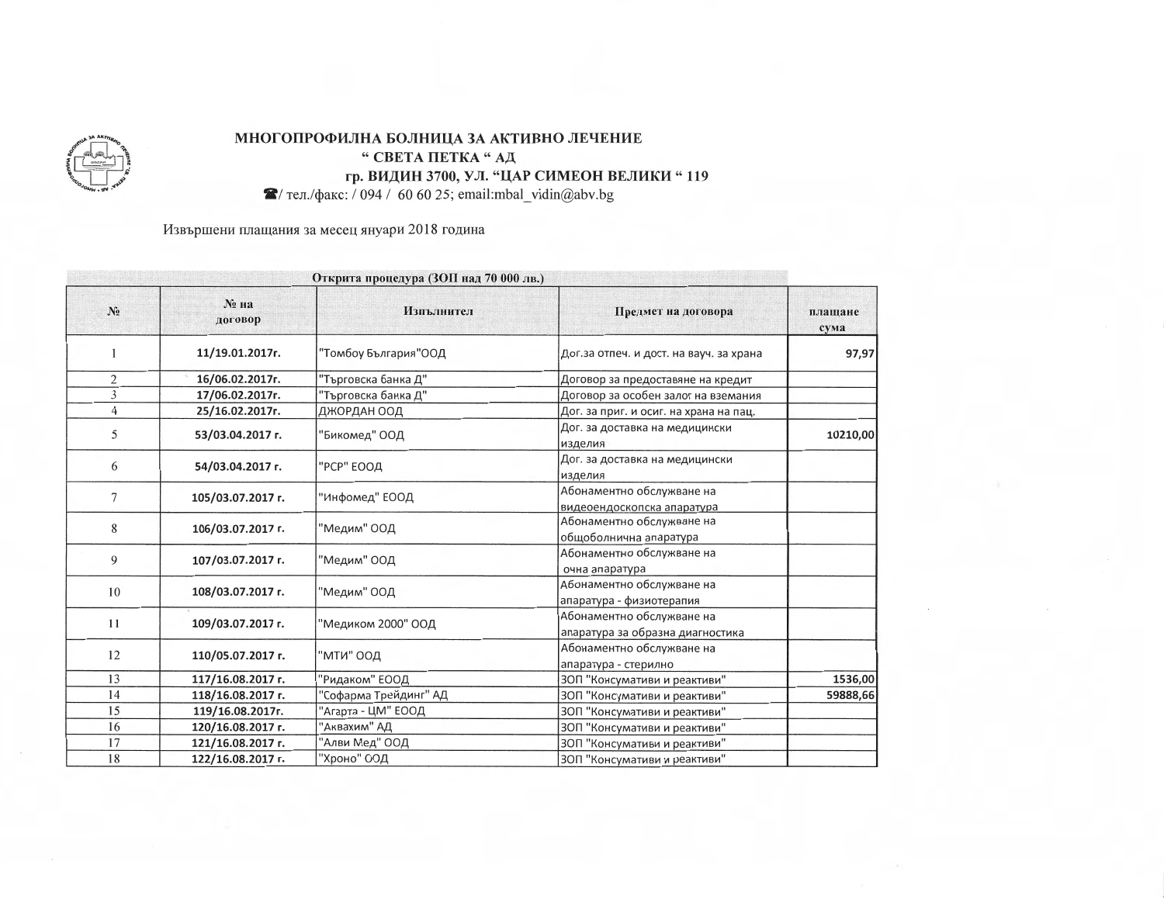

## МНОГОПРОФИЛНА БОЛНИЦА ЗА АКТИВНО ЛЕЧЕНИЕ " СВЕТА ПЕТКА "АД гр. ВИДИН 3700, УЛ. "ЦАР СИМЕОН ВЕЛИКИ "119

 $\blacktriangleright$ / тел./факс: / 094 / 60 60 25; email:mbal\_vidin@abv.bg

Извършени плащания за месец януари 2018 година

| Открита процедура (ЗОП над 70 000 лв.) |                     |                       |                                                               |                 |  |
|----------------------------------------|---------------------|-----------------------|---------------------------------------------------------------|-----------------|--|
| $N_2$                                  | $N_2$ на<br>договор | Изпълнител            | Предмет на договора                                           | плащане<br>сума |  |
|                                        | 11/19.01.2017r.     | "Томбоу България"ООД  | Дог.за отпеч. и дост. на вауч. за храна                       | 97,97           |  |
| 2                                      | 16/06.02.2017r.     | "Търговска банка Д"   | Договор за предоставяне на кредит                             |                 |  |
| 3                                      | 17/06.02.2017r.     | "Търговска банка Д"   | Договор за особен залог на вземания                           |                 |  |
| $\overline{4}$                         | 25/16.02.2017r.     | ДЖОРДАН ООД           | Дог. за приг. и осиг. на храна на пац.                        |                 |  |
| 5                                      | 53/03.04.2017 г.    | "Бикомед" ООД         | Дог. за доставка на медицински<br>изделия                     | 10210,00        |  |
| 6                                      | 54/03.04.2017 г.    | "РСР" ЕООД            | Дог. за доставка на медицински<br>изделия                     |                 |  |
| 7                                      | 105/03.07.2017 r.   | "Инфомед" ЕООД        | Абонаментно обслужване на<br>видеоендоскопска апаратура       |                 |  |
| 8                                      | 106/03.07.2017 r.   | "Медим" ООД           | Абонаментно обслужване на<br>общоболнична апаратура           |                 |  |
| 9                                      | 107/03.07.2017 r.   | "Медим" ООД           | Абонаментно обслужване на<br>очна апаратура                   |                 |  |
| 10                                     | 108/03.07.2017 r.   | "Медим" ООД           | Абонаментно обслужване на<br>апаратура - физиотерапия         |                 |  |
| 11                                     | 109/03.07.2017 r.   | "Медиком 2000" ООД    | Абонаментно обслужване на<br>апаратура за образна диагностика |                 |  |
| 12                                     | 110/05.07.2017 r.   | "МТИ" ООД             | Абонаментно обслужване на<br>апаратура - стерилно             |                 |  |
| 13                                     | 117/16.08.2017 г.   | "Ридаком" ЕООД        | ЗОП "Консумативи и реактиви"                                  | 1536,00         |  |
| 14                                     | 118/16.08.2017 r.   | "Софарма Трейдинг" АД | ЗОП "Консумативи и реактиви"                                  | 59888,66        |  |
| 15                                     | 119/16.08.2017r.    | 'Агарта - ЦМ" ЕООД    | ЗОП "Консумативи и реактиви"                                  |                 |  |
| 16                                     | 120/16.08.2017 г.   | "Аквахим" АД          | ЗОП "Консумативи и реактиви"                                  |                 |  |
| 17                                     | 121/16.08.2017 г.   | "Алви Мед" ООД        | ЗОП "Консумативи и реактиви"                                  |                 |  |
| 18                                     | 122/16.08.2017 г.   | "Хроно" ООД           | ЗОП "Консумативи и реактиви"                                  |                 |  |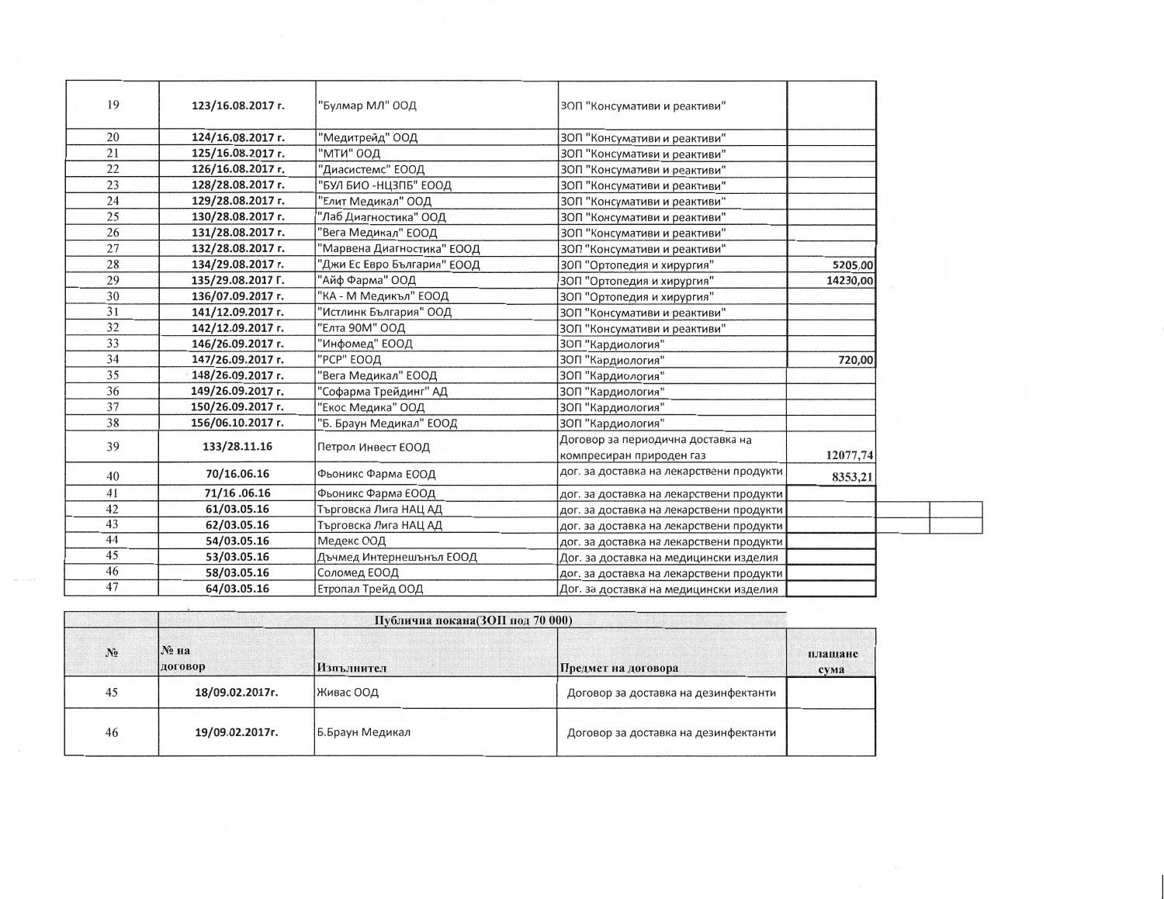| 19 | 123/16.08.2017 r. | 'Булмар МЛ" ООД             | ЗОП "Консумативи и реактиви"             |          |
|----|-------------------|-----------------------------|------------------------------------------|----------|
| 20 | 124/16.08.2017 г. | 'Медитрейд" ООД             | ЗОП "Консумативи и реактиви"             |          |
| 21 | 125/16.08.2017 r. | "МТИ" ООД                   | ЗОП "Консумативи и реактиви"             |          |
| 22 | 126/16.08.2017 r. | "Диасистемс" ЕООД           | ЗОП "Консумативи и реактиви"             |          |
| 23 | 128/28.08.2017 r. | БУЛ БИО -НЦЗПБ" ЕООД        | ЗОП "Консумативи и реактиви"             |          |
| 24 | 129/28.08.2017 г. | Елит Медикал" ООД           | ЗОП "Консумативи и реактиви"             |          |
| 25 | 130/28.08.2017 r. | "Лаб Диагностика" ООД       | ЗОП "Консумативи и реактиви"             |          |
| 26 | 131/28.08.2017 r. | Вега Медикал" ЕООД          | ЗОП "Консумативи и реактиви"             |          |
| 27 | 132/28.08.2017 r. | "Марвена Диагностика" ЕООД  | ЗОП "Консумативи и реактиви"             |          |
| 28 | 134/29.08.2017 г. | "Джи Ес Евро България" ЕООД | ЗОП "Ортопедия и хирургия"               | 5205,00  |
| 29 | 135/29.08.2017 Г. | "Айф Фарма" ООД             | ЗОП "Ортопедия и хирургия"               | 14230,00 |
| 30 | 136/07.09.2017 r. | 'КА - М Медикъл" ЕООД       | ЗОП "Ортопедия и хирургия"               |          |
| 31 | 141/12.09.2017 г. | 'Истлинк България" ООД      | ЗОП "Консумативи и реактиви"             |          |
| 32 | 142/12.09.2017 г. | Елта 90М" ООД               | ЗОП "Консумативи и реактиви"             |          |
| 33 | 146/26.09.2017 г. | Инфомед" ЕООД               | ЗОП "Кардиология"                        |          |
| 34 | 147/26.09.2017 г. | "РСР" ЕООД                  | ЗОП "Кардиология"                        | 720,00   |
| 35 | 148/26.09.2017 г. | Вега Медикал" ЕООД          | ЗОП "Кардиология"                        |          |
| 36 | 149/26.09.2017 г. | "Софарма Трейдинг" АД       | ЗОП "Кардиология"                        |          |
| 37 | 150/26.09.2017 г. | 'Екос Медика" ООД           | 3ОП "Кардиология"                        |          |
| 38 | 156/06.10.2017 г. | 'Б. Браун Медикал" ЕООД     | ЗОП "Кардиология"                        |          |
| 39 | 133/28.11.16      | Петрол Инвест ЕООД          | Договор за периодична доставка на        |          |
|    |                   |                             | компресиран природен газ                 | 12077,74 |
| 40 | 70/16.06.16       | Фьоникс Фарма ЕООД          | дог. за доставка на лекарствени продукти | 8353,21  |
| 41 | 71/16.06.16       | Фьоникс Фарма ЕООД          | дог. за доставка на лекарствени продукти |          |
| 42 | 61/03.05.16       | Търговска Лига НАЦ АД       | дог. за доставка на лекарствени продукти |          |
| 43 | 62/03.05.16       | Търговска Лига НАЦ АД       | дог. за доставка на лекарствени продукти |          |
| 44 | 54/03.05.16       | Медекс ООД                  | дог. за доставка на лекарствени продукти |          |
| 45 | 53/03.05.16       | Дъчмед Интернешънъл ЕООД    | Дог. за доставка на медицински изделия   |          |
| 46 | 58/03.05.16       | Соломед ЕООД                | дог. за доставка на лекарствени продукти |          |
| 47 | 64/03.05.16       | Етропал Трейд ООД           | Дог. за доставка на медицински изделия   |          |

|       | Публична покана(ЗОП под 70 000) |                  |                                      |                 |
|-------|---------------------------------|------------------|--------------------------------------|-----------------|
| $N_2$ | N° на<br>договор                | Изпълнител       | Предмет на договора                  | плащане<br>сума |
| 45    | 18/09.02.2017r.                 | Живас ООД        | Договор за доставка на дезинфектанти |                 |
| 46    | 19/09.02.2017r.                 | 1Б.Браун Медикал | Договор за доставка на дезинфектанти |                 |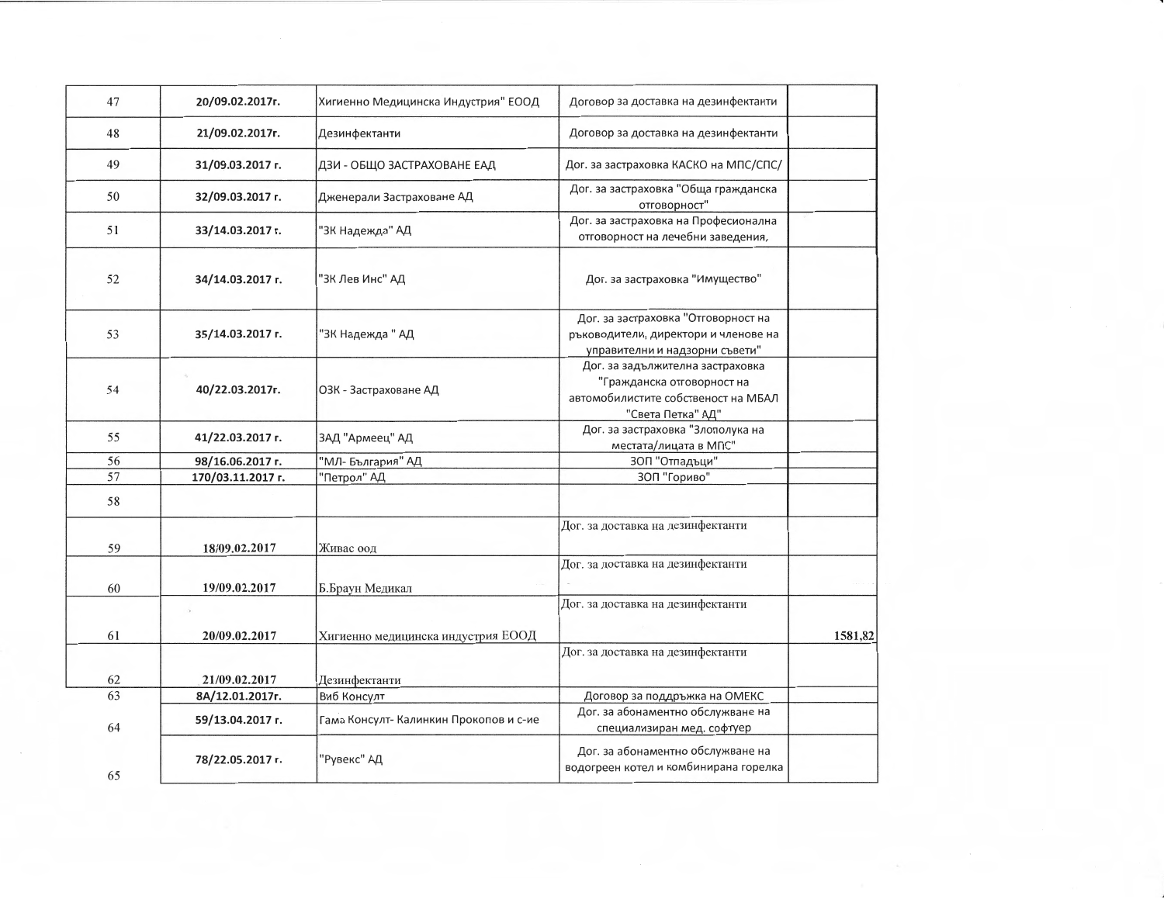| 47 | 20/09.02.2017г.   | Хигиенно Медицинска Индустрия" ЕООД    | Договор за доставка на дезинфектанти                                                                                       |         |
|----|-------------------|----------------------------------------|----------------------------------------------------------------------------------------------------------------------------|---------|
| 48 | 21/09.02.2017r.   | Дезинфектанти                          | Договор за доставка на дезинфектанти                                                                                       |         |
| 49 | 31/09.03.2017 г.  | ДЗИ - ОБЩО ЗАСТРАХОВАНЕ ЕАД            | Дог. за застраховка КАСКО на МПС/СПС/                                                                                      |         |
| 50 | 32/09.03.2017 r.  | Дженерали Застраховане АД              | Дог. за застраховка "Обща гражданска<br>отговорност"                                                                       |         |
| 51 | 33/14.03.2017 г.  | "ЗК Надежда" АД                        | Дог. за застраховка на Професионална<br>отговорност на лечебни заведения,                                                  |         |
| 52 | 34/14.03.2017 г.  | "ЗК Лев Инс" АД                        | Дог. за застраховка "Имущество"                                                                                            |         |
| 53 | 35/14.03.2017 г.  | "ЗК Надежда " АД                       | Дог. за застраховка "Отговорност на<br>ръководители, директори и членове на<br>управителни и надзорни съвети"              |         |
| 54 | 40/22.03.2017r.   | ОЗК - Застраховане АД                  | Дог. за задължителна застраховка<br>"Гражданска отговорност на<br>автомобилистите собственост на МБАЛ<br>"Света Петка" АД" |         |
| 55 | 41/22.03.2017 г.  | ЗАД "Армеец" АД                        | Дог. за застраховка "Злополука на<br>местата/лицата в МПС"                                                                 |         |
| 56 | 98/16.06.2017 г.  | "МЛ- България" АД                      | 30П "Отпадъци"                                                                                                             |         |
| 57 | 170/03.11.2017 г. | "Петрол" АД                            | 30П "Гориво"                                                                                                               |         |
| 58 |                   |                                        |                                                                                                                            |         |
| 59 | 18/09.02.2017     | Живас оод                              | Дог. за доставка на дезинфектанти                                                                                          |         |
| 60 | 19/09.02.2017     | Б.Браун Медикал                        | Дог. за доставка на дезинфектанти                                                                                          |         |
|    |                   |                                        | Дог. за доставка на дезинфектанти                                                                                          |         |
| 61 | 20/09.02.2017     | Хигиенно медицинска индустрия ЕООД     |                                                                                                                            | 1581,82 |
|    |                   |                                        | Дог. за доставка на дезинфектанти                                                                                          |         |
| 62 | 21/09.02.2017     | Дезинфектанти                          |                                                                                                                            |         |
| 63 | 8A/12.01.2017r.   | Виб Консулт                            | Договор за поддръжка на ОМЕКС                                                                                              |         |
| 64 | 59/13.04.2017 г.  | Гама Консулт- Калинкин Прокопов и с-ие | Дог. за абонаментно обслужване на<br>специализиран мед. софтуер                                                            |         |
| 65 | 78/22.05.2017 г.  | "Рувекс" АД                            | Дог. за абонаментно обслужване на<br>водогреен котел и комбинирана горелка                                                 |         |